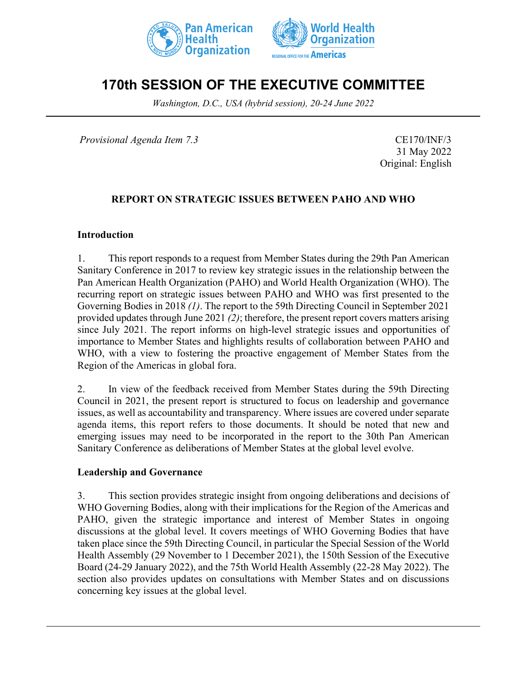



# **170th SESSION OF THE EXECUTIVE COMMITTEE**

*Washington, D.C., USA (hybrid session), 20-24 June 2022*

*Provisional Agenda Item 7.3* CE170/INF/3

31 May 2022 Original: English

## **REPORT ON STRATEGIC ISSUES BETWEEN PAHO AND WHO**

#### **Introduction**

1. This report responds to a request from Member States during the 29th Pan American Sanitary Conference in 2017 to review key strategic issues in the relationship between the Pan American Health Organization (PAHO) and World Health Organization (WHO). The recurring report on strategic issues between PAHO and WHO was first presented to the Governing Bodies in 2018 *(1)*. The report to the 59th Directing Council in September 2021 provided updates through June 2021 *(2)*; therefore, the present report covers matters arising since July 2021. The report informs on high-level strategic issues and opportunities of importance to Member States and highlights results of collaboration between PAHO and WHO, with a view to fostering the proactive engagement of Member States from the Region of the Americas in global fora.

2. In view of the feedback received from Member States during the 59th Directing Council in 2021, the present report is structured to focus on leadership and governance issues, as well as accountability and transparency. Where issues are covered under separate agenda items, this report refers to those documents. It should be noted that new and emerging issues may need to be incorporated in the report to the 30th Pan American Sanitary Conference as deliberations of Member States at the global level evolve.

#### **Leadership and Governance**

3. This section provides strategic insight from ongoing deliberations and decisions of WHO Governing Bodies, along with their implications for the Region of the Americas and PAHO, given the strategic importance and interest of Member States in ongoing discussions at the global level. It covers meetings of WHO Governing Bodies that have taken place since the 59th Directing Council, in particular the Special Session of the World Health Assembly (29 November to 1 December 2021), the 150th Session of the Executive Board (24-29 January 2022), and the 75th World Health Assembly (22-28 May 2022). The section also provides updates on consultations with Member States and on discussions concerning key issues at the global level.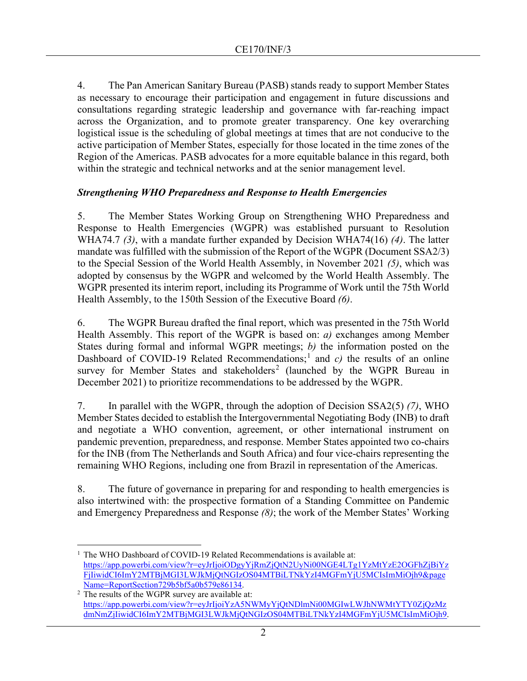4. The Pan American Sanitary Bureau (PASB) stands ready to support Member States as necessary to encourage their participation and engagement in future discussions and consultations regarding strategic leadership and governance with far-reaching impact across the Organization, and to promote greater transparency. One key overarching logistical issue is the scheduling of global meetings at times that are not conducive to the active participation of Member States, especially for those located in the time zones of the Region of the Americas. PASB advocates for a more equitable balance in this regard, both within the strategic and technical networks and at the senior management level.

#### *Strengthening WHO Preparedness and Response to Health Emergencies*

5. The Member States Working Group on Strengthening WHO Preparedness and Response to Health Emergencies (WGPR) was established pursuant to Resolution WHA74.7 *(3)*, with a mandate further expanded by Decision WHA74(16) *(4)*. The latter mandate was fulfilled with the submission of the Report of the WGPR (Document SSA2/3) to the Special Session of the World Health Assembly, in November 2021 *(5)*, which was adopted by consensus by the WGPR and welcomed by the World Health Assembly. The WGPR presented its interim report, including its Programme of Work until the 75th World Health Assembly, to the 150th Session of the Executive Board *(6)*.

6. The WGPR Bureau drafted the final report, which was presented in the 75th World Health Assembly. This report of the WGPR is based on: *a)* exchanges among Member States during formal and informal WGPR meetings; *b)* the information posted on the Dashboard of COVID-[1](#page-1-0)9 Related Recommendations;<sup>1</sup> and *c*) the results of an online survey for Member States and stakeholders<sup>[2](#page-1-1)</sup> (launched by the WGPR Bureau in December 2021) to prioritize recommendations to be addressed by the WGPR.

7. In parallel with the WGPR, through the adoption of Decision SSA2(5) *(7)*, WHO Member States decided to establish the Intergovernmental Negotiating Body (INB) to draft and negotiate a WHO convention, agreement, or other international instrument on pandemic prevention, preparedness, and response. Member States appointed two co-chairs for the INB (from The Netherlands and South Africa) and four vice-chairs representing the remaining WHO Regions, including one from Brazil in representation of the Americas.

8. The future of governance in preparing for and responding to health emergencies is also intertwined with: the prospective formation of a Standing Committee on Pandemic and Emergency Preparedness and Response *(8)*; the work of the Member States' Working

<span id="page-1-0"></span><sup>1</sup> The WHO Dashboard of COVID-19 Related Recommendations is available at: [https://app.powerbi.com/view?r=eyJrIjoiODgyYjRmZjQtN2UyNi00NGE4LTg1YzMtYzE2OGFhZjBiYz](https://app.powerbi.com/view?r=eyJrIjoiODgyYjRmZjQtN2UyNi00NGE4LTg1YzMtYzE2OGFhZjBiYzFjIiwidCI6ImY2MTBjMGI3LWJkMjQtNGIzOS04MTBiLTNkYzI4MGFmYjU5MCIsImMiOjh9&pageName=ReportSection729b5bf5a0b579e86134) [FjIiwidCI6ImY2MTBjMGI3LWJkMjQtNGIzOS04MTBiLTNkYzI4MGFmYjU5MCIsImMiOjh9&page](https://app.powerbi.com/view?r=eyJrIjoiODgyYjRmZjQtN2UyNi00NGE4LTg1YzMtYzE2OGFhZjBiYzFjIiwidCI6ImY2MTBjMGI3LWJkMjQtNGIzOS04MTBiLTNkYzI4MGFmYjU5MCIsImMiOjh9&pageName=ReportSection729b5bf5a0b579e86134) [Name=ReportSection729b5bf5a0b579e86134.](https://app.powerbi.com/view?r=eyJrIjoiODgyYjRmZjQtN2UyNi00NGE4LTg1YzMtYzE2OGFhZjBiYzFjIiwidCI6ImY2MTBjMGI3LWJkMjQtNGIzOS04MTBiLTNkYzI4MGFmYjU5MCIsImMiOjh9&pageName=ReportSection729b5bf5a0b579e86134)

<span id="page-1-1"></span> $2$  The results of the WGPR survey are available at: [https://app.powerbi.com/view?r=eyJrIjoiYzA5NWMyYjQtNDlmNi00MGIwLWJhNWMtYTY0ZjQzMz](https://app.powerbi.com/view?r=eyJrIjoiYzA5NWMyYjQtNDlmNi00MGIwLWJhNWMtYTY0ZjQzMzdmNmZjIiwidCI6ImY2MTBjMGI3LWJkMjQtNGIzOS04MTBiLTNkYzI4MGFmYjU5MCIsImMiOjh9) [dmNmZjIiwidCI6ImY2MTBjMGI3LWJkMjQtNGIzOS04MTBiLTNkYzI4MGFmYjU5MCIsImMiOjh9.](https://app.powerbi.com/view?r=eyJrIjoiYzA5NWMyYjQtNDlmNi00MGIwLWJhNWMtYTY0ZjQzMzdmNmZjIiwidCI6ImY2MTBjMGI3LWJkMjQtNGIzOS04MTBiLTNkYzI4MGFmYjU5MCIsImMiOjh9)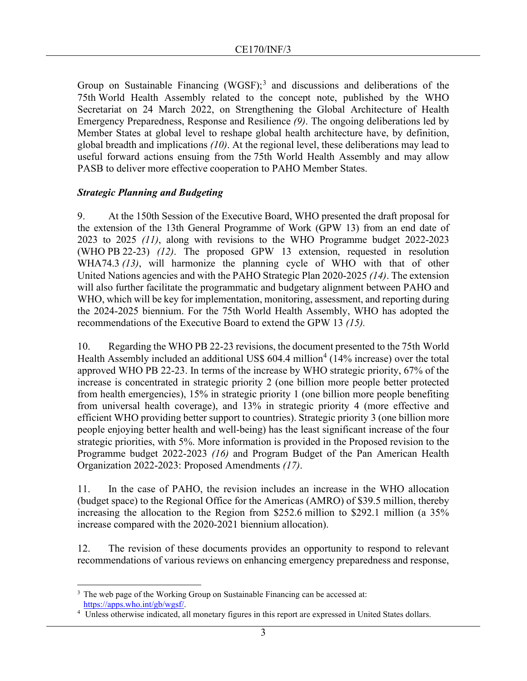Group on Sustainable Financing  $(WGSF);$ <sup>[3](#page-2-0)</sup> and discussions and deliberations of the 75th World Health Assembly related to the concept note, published by the WHO Secretariat on 24 March 2022, on Strengthening the Global Architecture of Health Emergency Preparedness, Response and Resilience *(9)*. The ongoing deliberations led by Member States at global level to reshape global health architecture have, by definition, global breadth and implications *(10)*. At the regional level, these deliberations may lead to useful forward actions ensuing from the 75th World Health Assembly and may allow PASB to deliver more effective cooperation to PAHO Member States.

## *Strategic Planning and Budgeting*

9. At the 150th Session of the Executive Board, WHO presented the draft proposal for the extension of the 13th General Programme of Work (GPW 13) from an end date of 2023 to 2025 *(11)*, along with revisions to the WHO Programme budget 2022-2023 (WHO PB 22-23) *(12)*. The proposed GPW 13 extension, requested in resolution WHA74.3 *(13)*, will harmonize the planning cycle of WHO with that of other United Nations agencies and with the PAHO Strategic Plan 2020-2025 *(14)*. The extension will also further facilitate the programmatic and budgetary alignment between PAHO and WHO, which will be key for implementation, monitoring, assessment, and reporting during the 2024-2025 biennium. For the 75th World Health Assembly, WHO has adopted the recommendations of the Executive Board to extend the GPW 13 *(15).*

10. Regarding the WHO PB 22-23 revisions, the document presented to the 75th World Health Assembly included an additional US\$  $604.4$  $604.4$  $604.4$  million<sup>4</sup> (14% increase) over the total approved WHO PB 22-23. In terms of the increase by WHO strategic priority, 67% of the increase is concentrated in strategic priority 2 (one billion more people better protected from health emergencies), 15% in strategic priority 1 (one billion more people benefiting from universal health coverage), and 13% in strategic priority 4 (more effective and efficient WHO providing better support to countries). Strategic priority 3 (one billion more people enjoying better health and well-being) has the least significant increase of the four strategic priorities, with 5%. More information is provided in the Proposed revision to the Programme budget 2022-2023 *(16)* and Program Budget of the Pan American Health Organization 2022-2023: Proposed Amendments *(17)*.

11. In the case of PAHO, the revision includes an increase in the WHO allocation (budget space) to the Regional Office for the Americas (AMRO) of \$39.5 million, thereby increasing the allocation to the Region from \$252.6 million to \$292.1 million (a 35% increase compared with the 2020-2021 biennium allocation).

12. The revision of these documents provides an opportunity to respond to relevant recommendations of various reviews on enhancing emergency preparedness and response,

<span id="page-2-0"></span> $3$  The web page of the Working Group on Sustainable Financing can be accessed at:

<span id="page-2-1"></span>[https://apps.who.int/gb/wgsf/.](https://apps.who.int/gb/wgsf/) 4 Unless otherwise indicated, all monetary figures in this report are expressed in United States dollars.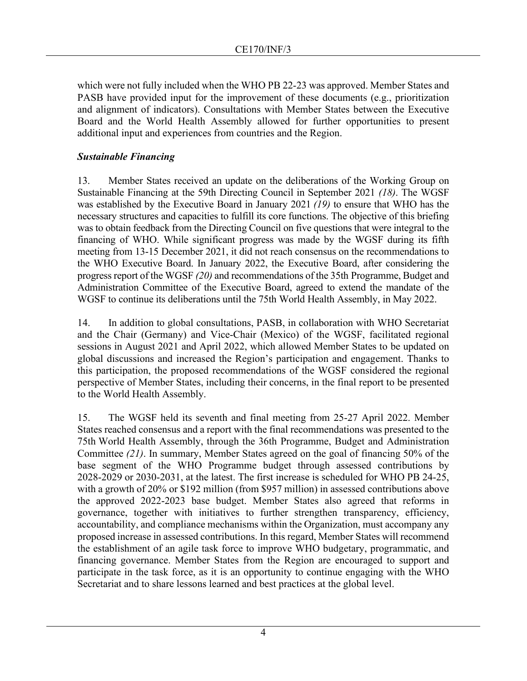which were not fully included when the WHO PB 22-23 was approved. Member States and PASB have provided input for the improvement of these documents (e.g., prioritization and alignment of indicators). Consultations with Member States between the Executive Board and the World Health Assembly allowed for further opportunities to present additional input and experiences from countries and the Region.

## *Sustainable Financing*

13. Member States received an update on the deliberations of the Working Group on Sustainable Financing at the 59th Directing Council in September 2021 *(18)*. The WGSF was established by the Executive Board in January 2021 *(19)* to ensure that WHO has the necessary structures and capacities to fulfill its core functions. The objective of this briefing was to obtain feedback from the Directing Council on five questions that were integral to the financing of WHO. While significant progress was made by the WGSF during its fifth meeting from 13-15 December 2021, it did not reach consensus on the recommendations to the WHO Executive Board. In January 2022, the Executive Board, after considering the progress report of the WGSF *(20)* and recommendations of the 35th Programme, Budget and Administration Committee of the Executive Board, agreed to extend the mandate of the WGSF to continue its deliberations until the 75th World Health Assembly, in May 2022.

14. In addition to global consultations, PASB, in collaboration with WHO Secretariat and the Chair (Germany) and Vice-Chair (Mexico) of the WGSF, facilitated regional sessions in August 2021 and April 2022, which allowed Member States to be updated on global discussions and increased the Region's participation and engagement. Thanks to this participation, the proposed recommendations of the WGSF considered the regional perspective of Member States, including their concerns, in the final report to be presented to the World Health Assembly.

15. The WGSF held its seventh and final meeting from 25-27 April 2022. Member States reached consensus and a report with the final recommendations was presented to the 75th World Health Assembly, through the 36th Programme, Budget and Administration Committee *(21)*. In summary, Member States agreed on the goal of financing 50% of the base segment of the WHO Programme budget through assessed contributions by 2028-2029 or 2030-2031, at the latest. The first increase is scheduled for WHO PB 24-25, with a growth of 20% or \$192 million (from \$957 million) in assessed contributions above the approved 2022-2023 base budget. Member States also agreed that reforms in governance, together with initiatives to further strengthen transparency, efficiency, accountability, and compliance mechanisms within the Organization, must accompany any proposed increase in assessed contributions. In this regard, Member States will recommend the establishment of an agile task force to improve WHO budgetary, programmatic, and financing governance. Member States from the Region are encouraged to support and participate in the task force, as it is an opportunity to continue engaging with the WHO Secretariat and to share lessons learned and best practices at the global level.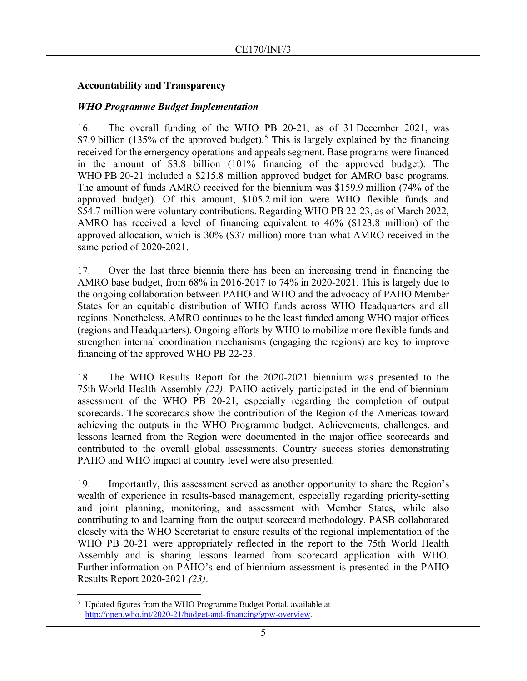### **Accountability and Transparency**

### *WHO Programme Budget Implementation*

16. The overall funding of the WHO PB 20-21, as of 31 December 2021, was \$7.9 billion (13[5](#page-4-0)% of the approved budget).<sup>5</sup> This is largely explained by the financing received for the emergency operations and appeals segment. Base programs were financed in the amount of \$3.8 billion (101% financing of the approved budget). The WHO PB 20-21 included a \$215.8 million approved budget for AMRO base programs. The amount of funds AMRO received for the biennium was \$159.9 million (74% of the approved budget). Of this amount, \$105.2 million were WHO flexible funds and \$54.7 million were voluntary contributions. Regarding WHO PB 22-23, as of March 2022, AMRO has received a level of financing equivalent to 46% (\$123.8 million) of the approved allocation, which is 30% (\$37 million) more than what AMRO received in the same period of 2020-2021.

17. Over the last three biennia there has been an increasing trend in financing the AMRO base budget, from 68% in 2016-2017 to 74% in 2020-2021. This is largely due to the ongoing collaboration between PAHO and WHO and the advocacy of PAHO Member States for an equitable distribution of WHO funds across WHO Headquarters and all regions. Nonetheless, AMRO continues to be the least funded among WHO major offices (regions and Headquarters). Ongoing efforts by WHO to mobilize more flexible funds and strengthen internal coordination mechanisms (engaging the regions) are key to improve financing of the approved WHO PB 22-23.

18. The WHO Results Report for the 2020-2021 biennium was presented to the 75th World Health Assembly *(22)*. PAHO actively participated in the end-of-biennium assessment of the WHO PB 20-21, especially regarding the completion of output scorecards. The scorecards show the contribution of the Region of the Americas toward achieving the outputs in the WHO Programme budget. Achievements, challenges, and lessons learned from the Region were documented in the major office scorecards and contributed to the overall global assessments. Country success stories demonstrating PAHO and WHO impact at country level were also presented.

19. Importantly, this assessment served as another opportunity to share the Region's wealth of experience in results-based management, especially regarding priority-setting and joint planning, monitoring, and assessment with Member States, while also contributing to and learning from the output scorecard methodology. PASB collaborated closely with the WHO Secretariat to ensure results of the regional implementation of the WHO PB 20-21 were appropriately reflected in the report to the 75th World Health Assembly and is sharing lessons learned from scorecard application with WHO. Further information on PAHO's end-of-biennium assessment is presented in the PAHO Results Report 2020-2021 *(23)*.

<span id="page-4-0"></span><sup>&</sup>lt;sup>5</sup> Updated figures from the WHO Programme Budget Portal, available at [http://open.who.int/2020-21/budget-and-financing/gpw-overview.](http://open.who.int/2020-21/budget-and-financing/gpw-overview)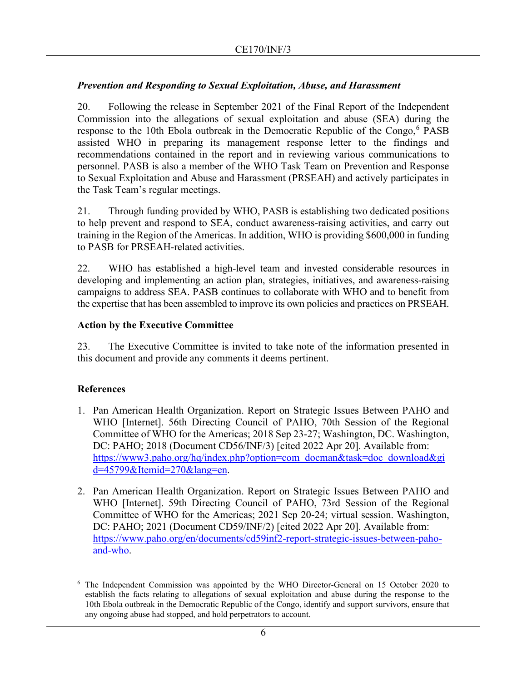## *Prevention and Responding to Sexual Exploitation, Abuse, and Harassment*

20. Following the release in September 2021 of the Final Report of the Independent Commission into the allegations of sexual exploitation and abuse (SEA) during the response to the 10th Ebola outbreak in the Democratic Republic of the Congo, $6$  PASB assisted WHO in preparing its management response letter to the findings and recommendations contained in the report and in reviewing various communications to personnel. PASB is also a member of the WHO Task Team on Prevention and Response to Sexual Exploitation and Abuse and Harassment (PRSEAH) and actively participates in the Task Team's regular meetings.

21. Through funding provided by WHO, PASB is establishing two dedicated positions to help prevent and respond to SEA, conduct awareness-raising activities, and carry out training in the Region of the Americas. In addition, WHO is providing \$600,000 in funding to PASB for PRSEAH-related activities.

22. WHO has established a high-level team and invested considerable resources in developing and implementing an action plan, strategies, initiatives, and awareness-raising campaigns to address SEA. PASB continues to collaborate with WHO and to benefit from the expertise that has been assembled to improve its own policies and practices on PRSEAH.

## **Action by the Executive Committee**

23. The Executive Committee is invited to take note of the information presented in this document and provide any comments it deems pertinent.

## **References**

- 1. Pan American Health Organization. Report on Strategic Issues Between PAHO and WHO [Internet]. 56th Directing Council of PAHO, 70th Session of the Regional Committee of WHO for the Americas; 2018 Sep 23-27; Washington, DC. Washington, DC: PAHO; 2018 (Document CD56/INF/3) [cited 2022 Apr 20]. Available from: [https://www3.paho.org/hq/index.php?option=com\\_docman&task=doc\\_download&gi](https://www3.paho.org/hq/index.php?option=com_docman&task=doc_download&gid=45799&Itemid=270&lang=en) [d=45799&Itemid=270&lang=en.](https://www3.paho.org/hq/index.php?option=com_docman&task=doc_download&gid=45799&Itemid=270&lang=en)
- 2. Pan American Health Organization. Report on Strategic Issues Between PAHO and WHO [Internet]. 59th Directing Council of PAHO, 73rd Session of the Regional Committee of WHO for the Americas; 2021 Sep 20-24; virtual session. Washington, DC: PAHO; 2021 (Document CD59/INF/2) [cited 2022 Apr 20]. Available from: [https://www.paho.org/en/documents/cd59inf2-report-strategic-issues-between-paho](https://www.paho.org/en/documents/cd59inf2-report-strategic-issues-between-paho-and-who)[and-who.](https://www.paho.org/en/documents/cd59inf2-report-strategic-issues-between-paho-and-who)

<span id="page-5-0"></span><sup>&</sup>lt;sup>6</sup> The Independent Commission was appointed by the WHO Director-General on 15 October 2020 to establish the facts relating to allegations of sexual exploitation and abuse during the response to the 10th Ebola outbreak in the Democratic Republic of the Congo, identify and support survivors, ensure that any ongoing abuse had stopped, and hold perpetrators to account.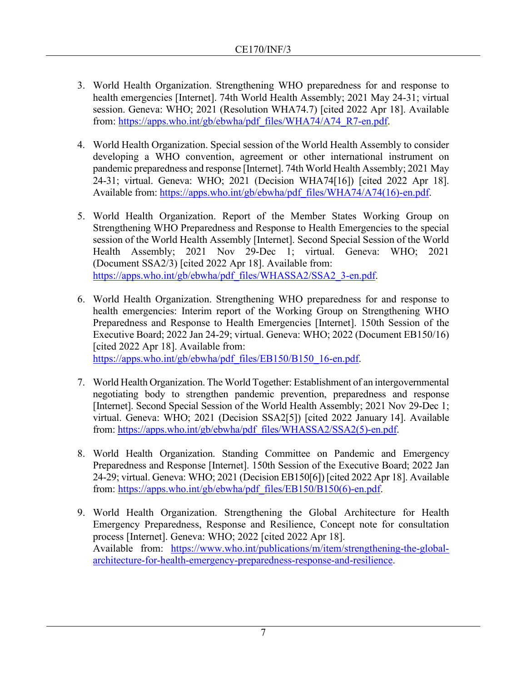- 3. World Health Organization. Strengthening WHO preparedness for and response to health emergencies [Internet]. 74th World Health Assembly; 2021 May 24-31; virtual session. Geneva: WHO; 2021 (Resolution WHA74.7) [cited 2022 Apr 18]. Available from: [https://apps.who.int/gb/ebwha/pdf\\_files/WHA74/A74\\_R7-en.pdf.](https://apps.who.int/gb/ebwha/pdf_files/WHA74/A74_R7-en.pdf)
- 4. World Health Organization. Special session of the World Health Assembly to consider developing a WHO convention, agreement or other international instrument on pandemic preparedness and response [Internet]. 74th World Health Assembly; 2021 May 24-31; virtual. Geneva: WHO; 2021 (Decision WHA74[16]) [cited 2022 Apr 18]. Available from: [https://apps.who.int/gb/ebwha/pdf\\_files/WHA74/A74\(16\)-en.pdf.](https://apps.who.int/gb/ebwha/pdf_files/WHA74/A74(16)-en.pdf)
- 5. World Health Organization. Report of the Member States Working Group on Strengthening WHO Preparedness and Response to Health Emergencies to the special session of the World Health Assembly [Internet]. Second Special Session of the World Health Assembly; 2021 Nov 29-Dec 1; virtual. Geneva: WHO; 2021 (Document SSA2/3) [cited 2022 Apr 18]. Available from: [https://apps.who.int/gb/ebwha/pdf\\_files/WHASSA2/SSA2\\_3-en.pdf.](https://apps.who.int/gb/ebwha/pdf_files/WHASSA2/SSA2_3-en.pdf)
- 6. World Health Organization. Strengthening WHO preparedness for and response to health emergencies: Interim report of the Working Group on Strengthening WHO Preparedness and Response to Health Emergencies [Internet]. 150th Session of the Executive Board; 2022 Jan 24-29; virtual. Geneva: WHO; 2022 (Document EB150/16) [cited 2022 Apr 18]. Available from: [https://apps.who.int/gb/ebwha/pdf\\_files/EB150/B150\\_16-en.pdf.](https://apps.who.int/gb/ebwha/pdf_files/EB150/B150_16-en.pdf)
- 7. World Health Organization. The World Together: Establishment of an intergovernmental negotiating body to strengthen pandemic prevention, preparedness and response [Internet]. Second Special Session of the World Health Assembly; 2021 Nov 29-Dec 1; virtual. Geneva: WHO; 2021 (Decision SSA2[5]) [cited 2022 January 14]. Available from: [https://apps.who.int/gb/ebwha/pdf\\_files/WHASSA2/SSA2\(5\)-en.pdf.](https://apps.who.int/gb/ebwha/pdf_files/WHASSA2/SSA2(5)-en.pdf)
- 8. World Health Organization. Standing Committee on Pandemic and Emergency Preparedness and Response [Internet]. 150th Session of the Executive Board; 2022 Jan 24-29; virtual. Geneva: WHO; 2021 (Decision EB150[6]) [cited 2022 Apr 18]. Available from: [https://apps.who.int/gb/ebwha/pdf\\_files/EB150/B150\(6\)-en.pdf.](https://apps.who.int/gb/ebwha/pdf_files/EB150/B150(6)-en.pdf)
- 9. World Health Organization. Strengthening the Global Architecture for Health Emergency Preparedness, Response and Resilience, Concept note for consultation process [Internet]. Geneva: WHO; 2022 [cited 2022 Apr 18]. Available from: [https://www.who.int/publications/m/item/strengthening-the-global](https://www.who.int/publications/m/item/strengthening-the-global-architecture-for-health-emergency-preparedness-response-and-resilience)[architecture-for-health-emergency-preparedness-response-and-resilience.](https://www.who.int/publications/m/item/strengthening-the-global-architecture-for-health-emergency-preparedness-response-and-resilience)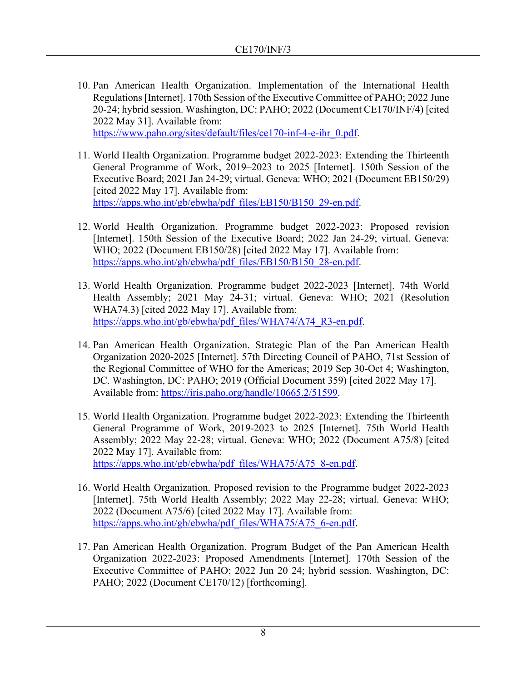- 10. Pan American Health Organization. Implementation of the International Health Regulations [Internet]. 170th Session of the Executive Committee of PAHO; 2022 June 20-24; hybrid session. Washington, DC: PAHO; 2022 (Document CE170/INF/4) [cited 2022 May 31]. Available from: [https://www.paho.org/sites/default/files/ce170-inf-4-e-ihr\\_0.pdf.](https://www.paho.org/sites/default/files/ce170-inf-4-e-ihr_0.pdf)
- 11. World Health Organization. Programme budget 2022-2023: Extending the Thirteenth General Programme of Work, 2019–2023 to 2025 [Internet]. 150th Session of the Executive Board; 2021 Jan 24-29; virtual. Geneva: WHO; 2021 (Document EB150/29) [cited 2022 May 17]. Available from: [https://apps.who.int/gb/ebwha/pdf\\_files/EB150/B150\\_29-en.pdf.](https://apps.who.int/gb/ebwha/pdf_files/EB150/B150_29-en.pdf)
- 12. World Health Organization. Programme budget 2022-2023: Proposed revision [Internet]. 150th Session of the Executive Board; 2022 Jan 24-29; virtual. Geneva: WHO; 2022 (Document EB150/28) [cited 2022 May 17]. Available from: [https://apps.who.int/gb/ebwha/pdf\\_files/EB150/B150\\_28-en.pdf.](https://apps.who.int/gb/ebwha/pdf_files/EB150/B150_28-en.pdf)
- 13. World Health Organization. Programme budget 2022-2023 [Internet]. 74th World Health Assembly; 2021 May 24-31; virtual. Geneva: WHO; 2021 (Resolution WHA74.3) [cited 2022 May 17]. Available from: [https://apps.who.int/gb/ebwha/pdf\\_files/WHA74/A74\\_R3-en.pdf.](https://apps.who.int/gb/ebwha/pdf_files/WHA74/A74_R3-en.pdf)
- 14. Pan American Health Organization. Strategic Plan of the Pan American Health Organization 2020-2025 [Internet]. 57th Directing Council of PAHO, 71st Session of the Regional Committee of WHO for the Americas; 2019 Sep 30-Oct 4; Washington, DC. Washington, DC: PAHO; 2019 (Official Document 359) [cited 2022 May 17]. Available from: [https://iris.paho.org/handle/10665.2/51599.](https://iris.paho.org/handle/10665.2/51599)
- 15. World Health Organization. Programme budget 2022-2023: Extending the Thirteenth General Programme of Work, 2019-2023 to 2025 [Internet]. 75th World Health Assembly; 2022 May 22-28; virtual. Geneva: WHO; 2022 (Document A75/8) [cited 2022 May 17]. Available from: [https://apps.who.int/gb/ebwha/pdf\\_files/WHA75/A75\\_8-en.pdf.](https://apps.who.int/gb/ebwha/pdf_files/WHA75/A75_8-en.pdf)
- 16. World Health Organization. Proposed revision to the Programme budget 2022-2023 [Internet]. 75th World Health Assembly; 2022 May 22-28; virtual. Geneva: WHO; 2022 (Document A75/6) [cited 2022 May 17]. Available from: [https://apps.who.int/gb/ebwha/pdf\\_files/WHA75/A75\\_6-en.pdf.](https://apps.who.int/gb/ebwha/pdf_files/WHA75/A75_6-en.pdf)
- 17. Pan American Health Organization. Program Budget of the Pan American Health Organization 2022-2023: Proposed Amendments [Internet]. 170th Session of the Executive Committee of PAHO; 2022 Jun 20 24; hybrid session. Washington, DC: PAHO; 2022 (Document CE170/12) [forthcoming].